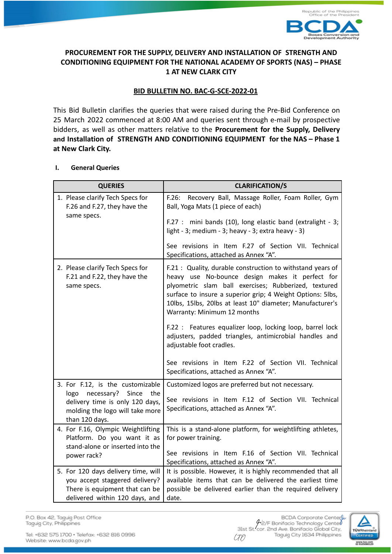

## **PROCUREMENT FOR THE SUPPLY, DELIVERY AND INSTALLATION OF STRENGTH AND CONDITIONING EQUIPMENT FOR THE NATIONAL ACADEMY OF SPORTS (NAS) – PHASE 1 AT NEW CLARK CITY**

# **BID BULLETIN NO. BAC-G-SCE-2022-01**

This Bid Bulletin clarifies the queries that were raised during the Pre-Bid Conference on 25 March 2022 commenced at 8:00 AM and queries sent through e-mail by prospective bidders, as well as other matters relative to the **Procurement for the Supply, Delivery and Installation of STRENGTH AND CONDITIONING EQUIPMENT for the NAS – Phase 1 at New Clark City.**

## **I. General Queries**

| <b>QUERIES</b>                                                                                                                                                                                       | <b>CLARIFICATION/S</b>                                                                                                                                                                                                                                                                                                                                                                                                                                                                                                                                                               |  |
|------------------------------------------------------------------------------------------------------------------------------------------------------------------------------------------------------|--------------------------------------------------------------------------------------------------------------------------------------------------------------------------------------------------------------------------------------------------------------------------------------------------------------------------------------------------------------------------------------------------------------------------------------------------------------------------------------------------------------------------------------------------------------------------------------|--|
| 1. Please clarify Tech Specs for<br>F.26 and F.27, they have the<br>same specs.                                                                                                                      | Recovery Ball, Massage Roller, Foam Roller, Gym<br>F.26:<br>Ball, Yoga Mats (1 piece of each)<br>F.27 : mini bands (10), long elastic band (extralight - 3;<br>light - 3; medium - 3; heavy - 3; extra heavy - 3)<br>See revisions in Item F.27 of Section VII. Technical<br>Specifications, attached as Annex "A".                                                                                                                                                                                                                                                                  |  |
| 2. Please clarify Tech Specs for<br>F.21 and F.22, they have the<br>same specs.                                                                                                                      | F.21 : Quality, durable construction to withstand years of<br>heavy use No-bounce design makes it perfect for<br>plyometric slam ball exercises; Rubberized, textured<br>surface to insure a superior grip; 4 Weight Options: 5lbs,<br>10lbs, 15lbs, 20lbs at least 10" diameter; Manufacturer's<br>Warranty: Minimum 12 months<br>F.22 : Features equalizer loop, locking loop, barrel lock<br>adjusters, padded triangles, antimicrobial handles and<br>adjustable foot cradles.<br>See revisions in Item F.22 of Section VII. Technical<br>Specifications, attached as Annex "A". |  |
| 3. For F.12, is the customizable<br>necessary?<br>Since<br>logo<br>the<br>delivery time is only 120 days,<br>molding the logo will take more<br>than 120 days.<br>4. For F.16, Olympic Weightlifting | Customized logos are preferred but not necessary.<br>See revisions in Item F.12 of Section VII. Technical<br>Specifications, attached as Annex "A".<br>This is a stand-alone platform, for weightlifting athletes,                                                                                                                                                                                                                                                                                                                                                                   |  |
| Platform. Do you want it as<br>stand-alone or inserted into the<br>power rack?                                                                                                                       | for power training.<br>See revisions in Item F.16 of Section VII. Technical<br>Specifications, attached as Annex "A".                                                                                                                                                                                                                                                                                                                                                                                                                                                                |  |
| 5. For 120 days delivery time, will<br>you accept staggered delivery?<br>There is equipment that can be<br>delivered within 120 days, and                                                            | It is possible. However, it is highly recommended that all<br>available items that can be delivered the earliest time<br>possible be delivered earlier than the required delivery<br>date.                                                                                                                                                                                                                                                                                                                                                                                           |  |

P.O. Box 42, Taguig Post Office Taguig City, Philippines

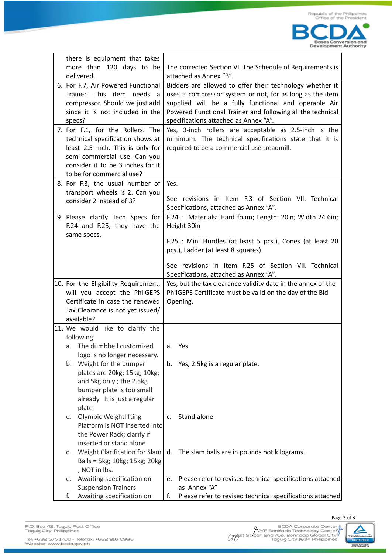

| there is equipment that takes                                    |                                                          |                                                                                                                  |  |
|------------------------------------------------------------------|----------------------------------------------------------|------------------------------------------------------------------------------------------------------------------|--|
| more than 120 days to be                                         |                                                          | The corrected Section VI. The Schedule of Requirements is                                                        |  |
| delivered.                                                       | attached as Annex "B".                                   |                                                                                                                  |  |
| 6. For F.7, Air Powered Functional<br>Trainer. This item needs a | Bidders are allowed to offer their technology whether it |                                                                                                                  |  |
| compressor. Should we just add                                   |                                                          | uses a compressor system or not, for as long as the item<br>supplied will be a fully functional and operable Air |  |
| since it is not included in the                                  |                                                          | Powered Functional Trainer and following all the technical                                                       |  |
| specs?                                                           |                                                          | specifications attached as Annex "A".                                                                            |  |
| 7. For F.1, for the Rollers. The                                 |                                                          | Yes, 3-inch rollers are acceptable as 2.5-inch is the                                                            |  |
| technical specification shows at                                 |                                                          | minimum. The technical specifications state that it is                                                           |  |
| least 2.5 inch. This is only for                                 |                                                          | required to be a commercial use treadmill.                                                                       |  |
| semi-commercial use. Can you                                     |                                                          |                                                                                                                  |  |
| consider it to be 3 inches for it                                |                                                          |                                                                                                                  |  |
| to be for commercial use?                                        |                                                          |                                                                                                                  |  |
| 8. For F.3, the usual number of                                  |                                                          | Yes.                                                                                                             |  |
| transport wheels is 2. Can you                                   |                                                          |                                                                                                                  |  |
| consider 2 instead of 3?                                         |                                                          | See revisions in Item F.3 of Section VII. Technical                                                              |  |
|                                                                  |                                                          | Specifications, attached as Annex "A".                                                                           |  |
| 9. Please clarify Tech Specs for<br>F.24 and F.25, they have the |                                                          | F.24 : Materials: Hard foam; Length: 20in; Width 24.6in;                                                         |  |
|                                                                  |                                                          | Height 30in                                                                                                      |  |
| same specs.                                                      |                                                          | F.25 : Mini Hurdles (at least 5 pcs.), Cones (at least 20                                                        |  |
|                                                                  |                                                          | pcs.), Ladder (at least 8 squares)                                                                               |  |
|                                                                  |                                                          |                                                                                                                  |  |
|                                                                  |                                                          | See revisions in Item F.25 of Section VII. Technical                                                             |  |
|                                                                  |                                                          | Specifications, attached as Annex "A".                                                                           |  |
|                                                                  |                                                          |                                                                                                                  |  |
| 10. For the Eligibility Requirement,                             |                                                          | Yes, but the tax clearance validity date in the annex of the                                                     |  |
| will you accept the PhilGEPS                                     |                                                          | PhilGEPS Certificate must be valid on the day of the Bid                                                         |  |
| Certificate in case the renewed                                  |                                                          | Opening.                                                                                                         |  |
| Tax Clearance is not yet issued/                                 |                                                          |                                                                                                                  |  |
| available?                                                       |                                                          |                                                                                                                  |  |
| 11. We would like to clarify the                                 |                                                          |                                                                                                                  |  |
| following:<br>The dumbbell customized<br>a.                      | а.                                                       | Yes                                                                                                              |  |
| logo is no longer necessary.                                     |                                                          |                                                                                                                  |  |
| Weight for the bumper<br>b.                                      | b.                                                       | Yes, 2.5kg is a regular plate.                                                                                   |  |
| plates are 20kg; 15kg; 10kg;                                     |                                                          |                                                                                                                  |  |
| and 5kg only; the 2.5kg                                          |                                                          |                                                                                                                  |  |
| bumper plate is too small                                        |                                                          |                                                                                                                  |  |
| already. It is just a regular                                    |                                                          |                                                                                                                  |  |
| plate                                                            |                                                          |                                                                                                                  |  |
| <b>Olympic Weightlifting</b><br>c.                               | C.                                                       | Stand alone                                                                                                      |  |
| Platform is NOT inserted into                                    |                                                          |                                                                                                                  |  |
| the Power Rack; clarify if                                       |                                                          |                                                                                                                  |  |
| inserted or stand alone                                          |                                                          |                                                                                                                  |  |
| Weight Clarification for Slam<br>d.                              | d.                                                       | The slam balls are in pounds not kilograms.                                                                      |  |
| Balls = 5kg; 10kg; 15kg; 20kg                                    |                                                          |                                                                                                                  |  |
| ; NOT in lbs.<br>е.                                              | e.                                                       |                                                                                                                  |  |
| Awaiting specification on<br><b>Suspension Trainers</b>          |                                                          | Please refer to revised technical specifications attached<br>as Annex "A"                                        |  |